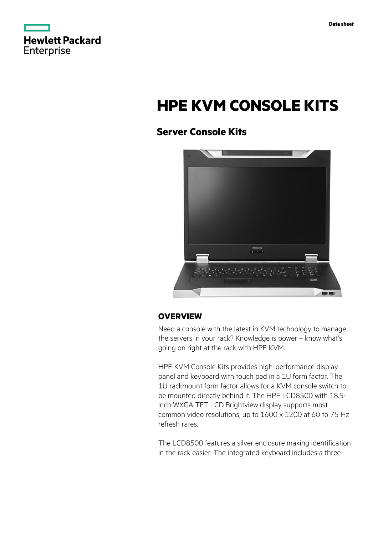

# **HPE KVM CONSOLE KITS**

# **Server Console Kits**



# **OVERVIEW**

Need a console with the latest in KVM technology to manage the servers in your rack? Knowledge is power – know what's going on right at the rack with HPE KVM.

HPE KVM Console Kits provides high-performance display panel and keyboard with touch pad in a 1U form factor. The 1U rackmount form factor allows for a KVM console switch to be mounted directly behind it. The HPE LCD8500 with 18.5 inch WXGA TFT LCD Brightview display supports most common video resolutions, up to 1600 x 1200 at 60 to 75 Hz refresh rates.

The LCD8500 features a silver enclosure making identification in the rack easier. The integrated keyboard includes a three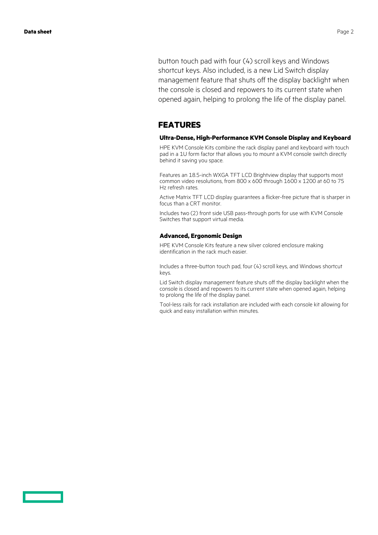button touch pad with four (4) scroll keys and Windows shortcut keys. Also included, is a new Lid Switch display management feature that shuts off the display backlight when the console is closed and repowers to its current state when opened again, helping to prolong the life of the display panel.

### **FEATURES**

#### **Ultra-Dense, High-Performance KVM Console Display and Keyboard**

HPE KVM Console Kits combine the rack display panel and keyboard with touch pad in a 1U form factor that allows you to mount a KVM console switch directly behind it saving you space.

Features an 18.5-inch WXGA TFT LCD Brightview display that supports most common video resolutions, from 800 x 600 through 1600 x 1200 at 60 to 75 Hz refresh rates.

Active Matrix TFT LCD display guarantees a flicker-free picture that is sharper in focus than a CRT monitor.

Includes two (2) front side USB pass-through ports for use with KVM Console Switches that support virtual media.

#### **Advanced, Ergonomic Design**

HPE KVM Console Kits feature a new silver colored enclosure making identification in the rack much easier.

Includes a three-button touch pad, four (4) scroll keys, and Windows shortcut keys.

Lid Switch display management feature shuts off the display backlight when the console is closed and repowers to its current state when opened again, helping to prolong the life of the display panel.

Tool-less rails for rack installation are included with each console kit allowing for quick and easy installation within minutes.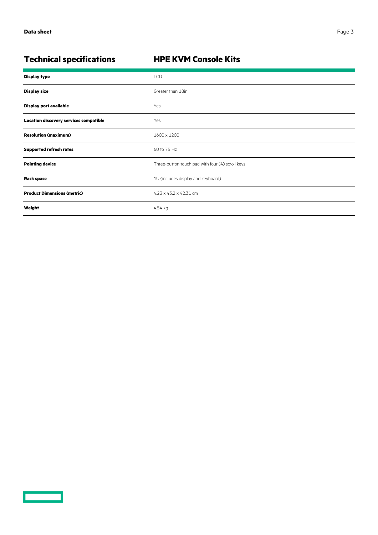<u>a sa saidh an san Saorann an S</u>

# **Technical specifications HPE KVM Console Kits**

| <b>Display type</b>                           | LCD                                              |
|-----------------------------------------------|--------------------------------------------------|
| <b>Display size</b>                           | Greater than 18in                                |
| Display port available                        | Yes                                              |
| <b>Location discovery services compatible</b> | Yes                                              |
| <b>Resolution (maximum)</b>                   | 1600 x 1200                                      |
| <b>Supported refresh rates</b>                | 60 to 75 Hz                                      |
| <b>Pointing device</b>                        | Three-button touch pad with four (4) scroll keys |
| <b>Rack space</b>                             | 1U (includes display and keyboard)               |
| <b>Product Dimensions (metric)</b>            | $4.23 \times 43.2 \times 42.31$ cm               |
| Weight                                        | 4.54 kg                                          |